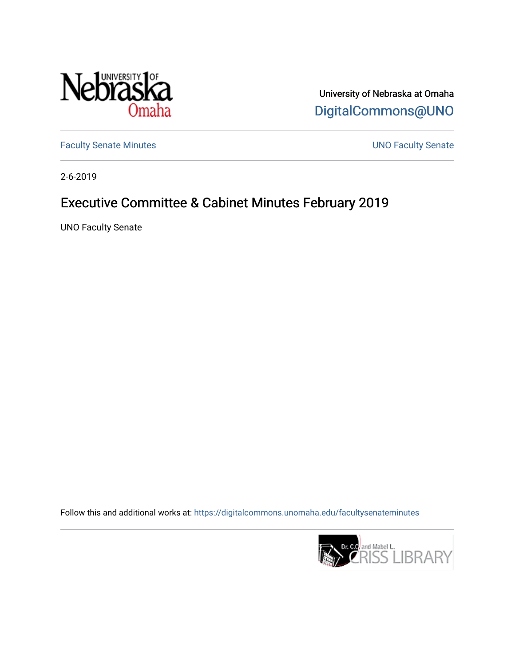

University of Nebraska at Omaha [DigitalCommons@UNO](https://digitalcommons.unomaha.edu/) 

[Faculty Senate Minutes](https://digitalcommons.unomaha.edu/facultysenateminutes) **Exercise Senate UNO Faculty Senate** 

2-6-2019

# Executive Committee & Cabinet Minutes February 2019

UNO Faculty Senate

Follow this and additional works at: [https://digitalcommons.unomaha.edu/facultysenateminutes](https://digitalcommons.unomaha.edu/facultysenateminutes?utm_source=digitalcommons.unomaha.edu%2Ffacultysenateminutes%2F136&utm_medium=PDF&utm_campaign=PDFCoverPages) 

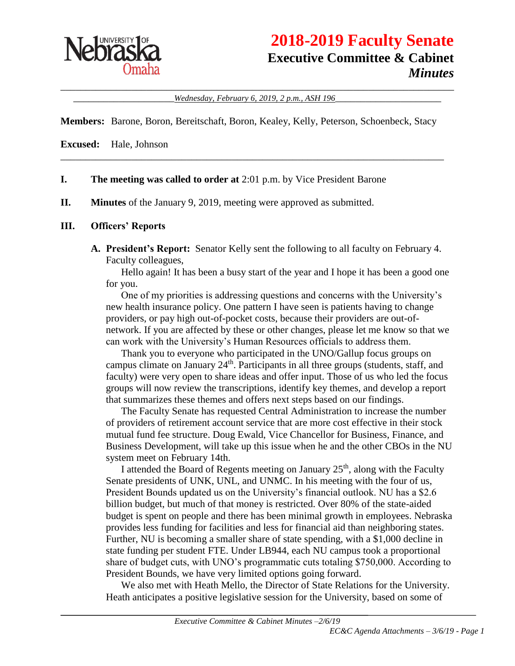

# **2018-2019 Faculty Senate Executive Committee & Cabinet** *Minutes*

\_\_\_\_\_\_\_\_\_\_\_\_\_\_\_\_\_\_\_\_\_\_\_\_\_\_\_\_\_\_\_\_\_\_\_\_\_\_\_\_\_\_\_\_\_\_\_\_\_\_\_\_\_\_\_\_\_\_\_\_\_\_\_\_\_\_\_\_\_\_\_\_\_\_\_\_\_\_ \_\_\_\_\_\_\_\_\_\_\_\_\_\_\_\_\_\_\_\_*Wednesday, February 6, 2019, 2 p.m., ASH 196*\_\_\_\_\_\_\_\_\_\_\_\_\_\_\_\_\_\_\_\_\_

**Members:** Barone, Boron, Bereitschaft, Boron, Kealey, Kelly, Peterson, Schoenbeck, Stacy

\_\_\_\_\_\_\_\_\_\_\_\_\_\_\_\_\_\_\_\_\_\_\_\_\_\_\_\_\_\_\_\_\_\_\_\_\_\_\_\_\_\_\_\_\_\_\_\_\_\_\_\_\_\_\_\_\_\_\_\_\_\_\_\_\_\_\_\_\_\_\_\_\_\_\_\_

**Excused:** Hale, Johnson

- **I. The meeting was called to order at** 2:01 p.m. by Vice President Barone
- **II. Minutes** of the January 9, 2019, meeting were approved as submitted.

#### **III. Officers' Reports**

**A. President's Report:** Senator Kelly sent the following to all faculty on February 4. Faculty colleagues,

Hello again! It has been a busy start of the year and I hope it has been a good one for you.

One of my priorities is addressing questions and concerns with the University's new health insurance policy. One pattern I have seen is patients having to change providers, or pay high out-of-pocket costs, because their providers are out-ofnetwork. If you are affected by these or other changes, please let me know so that we can work with the University's Human Resources officials to address them.

Thank you to everyone who participated in the UNO/Gallup focus groups on campus climate on January  $24<sup>th</sup>$ . Participants in all three groups (students, staff, and faculty) were very open to share ideas and offer input. Those of us who led the focus groups will now review the transcriptions, identify key themes, and develop a report that summarizes these themes and offers next steps based on our findings.

The Faculty Senate has requested Central Administration to increase the number of providers of retirement account service that are more cost effective in their stock mutual fund fee structure. Doug Ewald, Vice Chancellor for Business, Finance, and Business Development, will take up this issue when he and the other CBOs in the NU system meet on February 14th.

I attended the Board of Regents meeting on January  $25<sup>th</sup>$ , along with the Faculty Senate presidents of UNK, UNL, and UNMC. In his meeting with the four of us, President Bounds updated us on the University's financial outlook. NU has a \$2.6 billion budget, but much of that money is restricted. Over 80% of the state-aided budget is spent on people and there has been minimal growth in employees. Nebraska provides less funding for facilities and less for financial aid than neighboring states. Further, NU is becoming a smaller share of state spending, with a \$1,000 decline in state funding per student FTE. Under LB944, each NU campus took a proportional share of budget cuts, with UNO's programmatic cuts totaling \$750,000. According to President Bounds, we have very limited options going forward.

We also met with Heath Mello, the Director of State Relations for the University. Heath anticipates a positive legislative session for the University, based on some of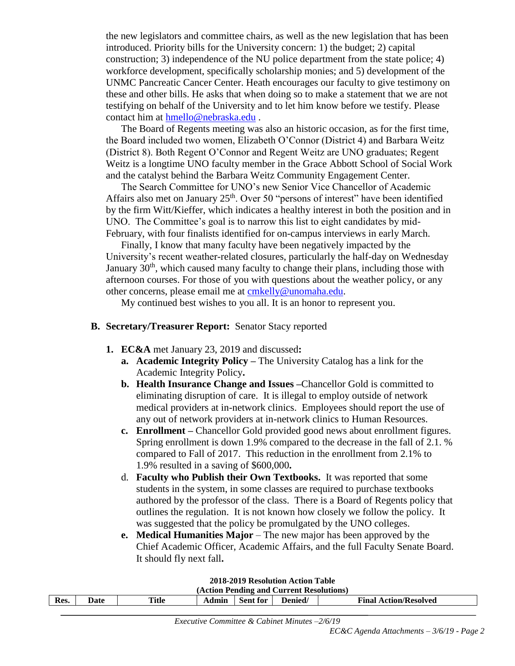the new legislators and committee chairs, as well as the new legislation that has been introduced. Priority bills for the University concern: 1) the budget; 2) capital construction; 3) independence of the NU police department from the state police; 4) workforce development, specifically scholarship monies; and 5) development of the UNMC Pancreatic Cancer Center. Heath encourages our faculty to give testimony on these and other bills. He asks that when doing so to make a statement that we are not testifying on behalf of the University and to let him know before we testify. Please contact him at [hmello@nebraska.edu](mailto:hmello@nebraska.edu) .

The Board of Regents meeting was also an historic occasion, as for the first time, the Board included two women, Elizabeth O'Connor (District 4) and Barbara Weitz (District 8). Both Regent O'Connor and Regent Weitz are UNO graduates; Regent Weitz is a longtime UNO faculty member in the Grace Abbott School of Social Work and the catalyst behind the Barbara Weitz Community Engagement Center.

The Search Committee for UNO's new Senior Vice Chancellor of Academic Affairs also met on January  $25<sup>th</sup>$ . Over 50 "persons of interest" have been identified by the firm Witt/Kieffer, which indicates a healthy interest in both the position and in UNO. The Committee's goal is to narrow this list to eight candidates by mid-February, with four finalists identified for on-campus interviews in early March.

Finally, I know that many faculty have been negatively impacted by the University's recent weather-related closures, particularly the half-day on Wednesday January 30<sup>th</sup>, which caused many faculty to change their plans, including those with afternoon courses. For those of you with questions about the weather policy, or any other concerns, please email me at [cmkelly@unomaha.edu.](mailto:cmkelly@unomaha.edu)

My continued best wishes to you all. It is an honor to represent you.

#### **B. Secretary/Treasurer Report:** Senator Stacy reported

- **1. EC&A** met January 23, 2019 and discussed**:** 
	- **a. Academic Integrity Policy –** The University Catalog has a link for the Academic Integrity Policy**.**
	- **b. Health Insurance Change and Issues –**Chancellor Gold is committed to eliminating disruption of care. It is illegal to employ outside of network medical providers at in-network clinics. Employees should report the use of any out of network providers at in-network clinics to Human Resources.
	- **c. Enrollment –** Chancellor Gold provided good news about enrollment figures. Spring enrollment is down 1.9% compared to the decrease in the fall of 2.1. % compared to Fall of 2017. This reduction in the enrollment from 2.1% to 1.9% resulted in a saving of \$600,000**.**
	- d. **Faculty who Publish their Own Textbooks.** It was reported that some students in the system, in some classes are required to purchase textbooks authored by the professor of the class. There is a Board of Regents policy that outlines the regulation. It is not known how closely we follow the policy. It was suggested that the policy be promulgated by the UNO colleges.
	- **e. Medical Humanities Major** The new major has been approved by the Chief Academic Officer, Academic Affairs, and the full Faculty Senate Board. It should fly next fall**.**

| 2018-2019 Resolution Action Table        |      |       |       |                 |         |                              |
|------------------------------------------|------|-------|-------|-----------------|---------|------------------------------|
| (Action Pending and Current Resolutions) |      |       |       |                 |         |                              |
| Res.                                     | Date | Title | Admin | <b>Sent for</b> | Denied/ | <b>Final Action/Resolved</b> |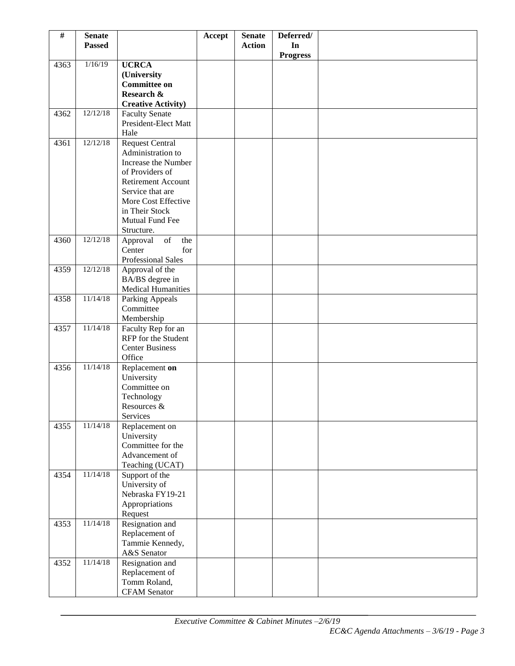| $\#$ | <b>Senate</b><br><b>Passed</b> |                                                                                                                       | Accept | <b>Senate</b><br><b>Action</b> | Deferred/<br>In |  |
|------|--------------------------------|-----------------------------------------------------------------------------------------------------------------------|--------|--------------------------------|-----------------|--|
|      |                                |                                                                                                                       |        |                                | <b>Progress</b> |  |
| 4363 | 1/16/19                        | <b>UCRCA</b>                                                                                                          |        |                                |                 |  |
|      |                                | (University                                                                                                           |        |                                |                 |  |
|      |                                | <b>Committee on</b>                                                                                                   |        |                                |                 |  |
|      |                                | Research &                                                                                                            |        |                                |                 |  |
| 4362 | 12/12/18                       | <b>Creative Activity)</b><br><b>Faculty Senate</b>                                                                    |        |                                |                 |  |
|      |                                | President-Elect Matt                                                                                                  |        |                                |                 |  |
|      |                                | Hale                                                                                                                  |        |                                |                 |  |
| 4361 | 12/12/18                       | <b>Request Central</b>                                                                                                |        |                                |                 |  |
|      |                                | Administration to                                                                                                     |        |                                |                 |  |
|      |                                | Increase the Number                                                                                                   |        |                                |                 |  |
|      |                                | of Providers of                                                                                                       |        |                                |                 |  |
|      |                                | <b>Retirement Account</b>                                                                                             |        |                                |                 |  |
|      |                                | Service that are<br>More Cost Effective                                                                               |        |                                |                 |  |
|      |                                | in Their Stock                                                                                                        |        |                                |                 |  |
|      |                                | Mutual Fund Fee                                                                                                       |        |                                |                 |  |
|      |                                | Structure.                                                                                                            |        |                                |                 |  |
| 4360 | 12/12/18                       | $% \left( \left( \mathcal{A},\mathcal{A}\right) \right) =\left( \mathcal{A},\mathcal{A}\right)$ of<br>the<br>Approval |        |                                |                 |  |
|      |                                | for<br>Center                                                                                                         |        |                                |                 |  |
|      |                                | <b>Professional Sales</b>                                                                                             |        |                                |                 |  |
| 4359 | 12/12/18                       | Approval of the<br>BA/BS degree in                                                                                    |        |                                |                 |  |
|      |                                | <b>Medical Humanities</b>                                                                                             |        |                                |                 |  |
| 4358 | 11/14/18                       | Parking Appeals                                                                                                       |        |                                |                 |  |
|      |                                | Committee                                                                                                             |        |                                |                 |  |
|      |                                | Membership                                                                                                            |        |                                |                 |  |
| 4357 | 11/14/18                       | Faculty Rep for an                                                                                                    |        |                                |                 |  |
|      |                                | RFP for the Student<br><b>Center Business</b>                                                                         |        |                                |                 |  |
|      |                                | Office                                                                                                                |        |                                |                 |  |
| 4356 | 11/14/18                       | Replacement on                                                                                                        |        |                                |                 |  |
|      |                                | University                                                                                                            |        |                                |                 |  |
|      |                                | Committee on                                                                                                          |        |                                |                 |  |
|      |                                | Technology                                                                                                            |        |                                |                 |  |
|      |                                | Resources &                                                                                                           |        |                                |                 |  |
| 4355 | 11/14/18                       | Services                                                                                                              |        |                                |                 |  |
|      |                                | Replacement on<br>University                                                                                          |        |                                |                 |  |
|      |                                | Committee for the                                                                                                     |        |                                |                 |  |
|      |                                | Advancement of                                                                                                        |        |                                |                 |  |
|      |                                | Teaching (UCAT)                                                                                                       |        |                                |                 |  |
| 4354 | 11/14/18                       | Support of the                                                                                                        |        |                                |                 |  |
|      |                                | University of                                                                                                         |        |                                |                 |  |
|      |                                | Nebraska FY19-21<br>Appropriations                                                                                    |        |                                |                 |  |
|      |                                | Request                                                                                                               |        |                                |                 |  |
| 4353 | 11/14/18                       | Resignation and                                                                                                       |        |                                |                 |  |
|      |                                | Replacement of                                                                                                        |        |                                |                 |  |
|      |                                | Tammie Kennedy,                                                                                                       |        |                                |                 |  |
|      |                                | A&S Senator                                                                                                           |        |                                |                 |  |
| 4352 | 11/14/18                       | Resignation and                                                                                                       |        |                                |                 |  |
|      |                                | Replacement of<br>Tomm Roland,                                                                                        |        |                                |                 |  |
|      |                                | <b>CFAM</b> Senator                                                                                                   |        |                                |                 |  |
|      |                                |                                                                                                                       |        |                                |                 |  |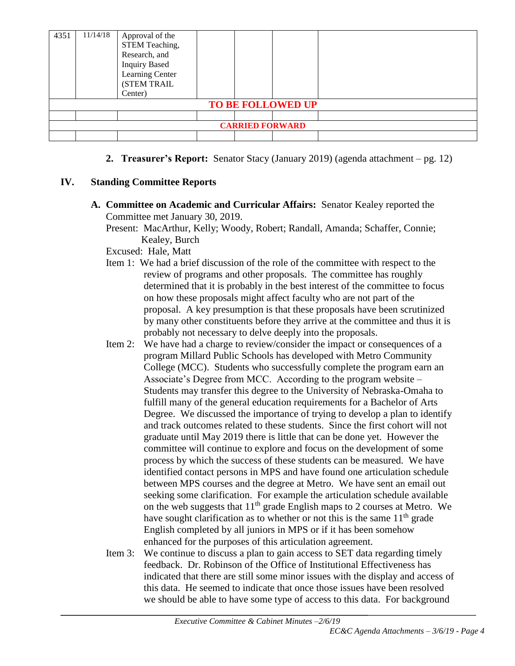| 4351                   | 11/14/18 | Approval of the<br>STEM Teaching,<br>Research, and<br><b>Inquiry Based</b><br>Learning Center<br>(STEM TRAIL<br>Center) |  |  |                          |  |
|------------------------|----------|-------------------------------------------------------------------------------------------------------------------------|--|--|--------------------------|--|
|                        |          |                                                                                                                         |  |  | <b>TO BE FOLLOWED UP</b> |  |
|                        |          |                                                                                                                         |  |  |                          |  |
| <b>CARRIED FORWARD</b> |          |                                                                                                                         |  |  |                          |  |
|                        |          |                                                                                                                         |  |  |                          |  |

**2. Treasurer's Report:** Senator Stacy (January 2019) (agenda attachment – pg. 12)

# **IV. Standing Committee Reports**

**A. Committee on Academic and Curricular Affairs:** Senator Kealey reported the Committee met January 30, 2019.

Present: MacArthur, Kelly; Woody, Robert; Randall, Amanda; Schaffer, Connie; Kealey, Burch

Excused: Hale, Matt

- Item 1: We had a brief discussion of the role of the committee with respect to the review of programs and other proposals. The committee has roughly determined that it is probably in the best interest of the committee to focus on how these proposals might affect faculty who are not part of the proposal. A key presumption is that these proposals have been scrutinized by many other constituents before they arrive at the committee and thus it is probably not necessary to delve deeply into the proposals.
- Item 2: We have had a charge to review/consider the impact or consequences of a program Millard Public Schools has developed with Metro Community College (MCC). Students who successfully complete the program earn an Associate's Degree from MCC. According to the program website – Students may transfer this degree to the University of Nebraska-Omaha to fulfill many of the general education requirements for a Bachelor of Arts Degree. We discussed the importance of trying to develop a plan to identify and track outcomes related to these students. Since the first cohort will not graduate until May 2019 there is little that can be done yet. However the committee will continue to explore and focus on the development of some process by which the success of these students can be measured. We have identified contact persons in MPS and have found one articulation schedule between MPS courses and the degree at Metro. We have sent an email out seeking some clarification. For example the articulation schedule available on the web suggests that  $11<sup>th</sup>$  grade English maps to 2 courses at Metro. We have sought clarification as to whether or not this is the same  $11<sup>th</sup>$  grade English completed by all juniors in MPS or if it has been somehow enhanced for the purposes of this articulation agreement.
- Item 3: We continue to discuss a plan to gain access to SET data regarding timely feedback. Dr. Robinson of the Office of Institutional Effectiveness has indicated that there are still some minor issues with the display and access of this data. He seemed to indicate that once those issues have been resolved we should be able to have some type of access to this data. For background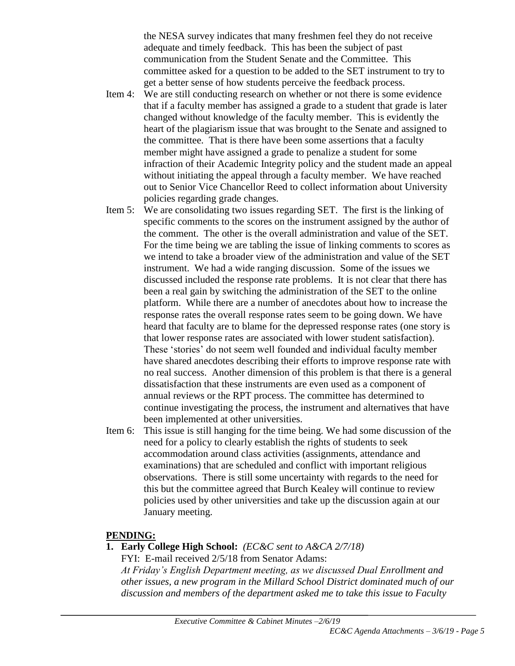the NESA survey indicates that many freshmen feel they do not receive adequate and timely feedback. This has been the subject of past communication from the Student Senate and the Committee. This committee asked for a question to be added to the SET instrument to try to get a better sense of how students perceive the feedback process.

- Item 4: We are still conducting research on whether or not there is some evidence that if a faculty member has assigned a grade to a student that grade is later changed without knowledge of the faculty member. This is evidently the heart of the plagiarism issue that was brought to the Senate and assigned to the committee. That is there have been some assertions that a faculty member might have assigned a grade to penalize a student for some infraction of their Academic Integrity policy and the student made an appeal without initiating the appeal through a faculty member. We have reached out to Senior Vice Chancellor Reed to collect information about University policies regarding grade changes.
- Item 5: We are consolidating two issues regarding SET. The first is the linking of specific comments to the scores on the instrument assigned by the author of the comment. The other is the overall administration and value of the SET. For the time being we are tabling the issue of linking comments to scores as we intend to take a broader view of the administration and value of the SET instrument. We had a wide ranging discussion. Some of the issues we discussed included the response rate problems. It is not clear that there has been a real gain by switching the administration of the SET to the online platform. While there are a number of anecdotes about how to increase the response rates the overall response rates seem to be going down. We have heard that faculty are to blame for the depressed response rates (one story is that lower response rates are associated with lower student satisfaction). These 'stories' do not seem well founded and individual faculty member have shared anecdotes describing their efforts to improve response rate with no real success. Another dimension of this problem is that there is a general dissatisfaction that these instruments are even used as a component of annual reviews or the RPT process. The committee has determined to continue investigating the process, the instrument and alternatives that have been implemented at other universities.
- Item 6: This issue is still hanging for the time being. We had some discussion of the need for a policy to clearly establish the rights of students to seek accommodation around class activities (assignments, attendance and examinations) that are scheduled and conflict with important religious observations. There is still some uncertainty with regards to the need for this but the committee agreed that Burch Kealey will continue to review policies used by other universities and take up the discussion again at our January meeting.

### **PENDING:**

**1. Early College High School:** *(EC&C sent to A&CA 2/7/18)* FYI: E-mail received 2/5/18 from Senator Adams:

*At Friday's English Department meeting, as we discussed Dual Enrollment and other issues, a new program in the Millard School District dominated much of our discussion and members of the department asked me to take this issue to Faculty*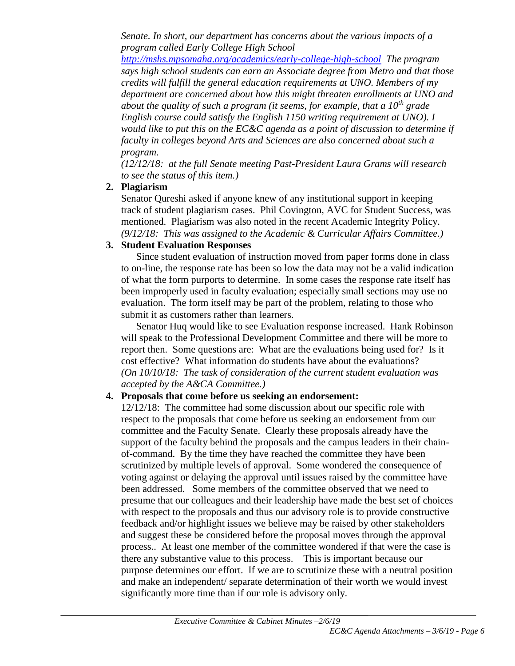*Senate. In short, our department has concerns about the various impacts of a program called Early College High School* 

*<http://mshs.mpsomaha.org/academics/early-college-high-school> The program says high school students can earn an Associate degree from Metro and that those credits will fulfill the general education requirements at UNO. Members of my department are concerned about how this might threaten enrollments at UNO and about the quality of such a program (it seems, for example, that a 10th grade English course could satisfy the English 1150 writing requirement at UNO). I would like to put this on the EC&C agenda as a point of discussion to determine if faculty in colleges beyond Arts and Sciences are also concerned about such a program.*

*(12/12/18: at the full Senate meeting Past-President Laura Grams will research to see the status of this item.)*

# **2. Plagiarism**

Senator Qureshi asked if anyone knew of any institutional support in keeping track of student plagiarism cases. Phil Covington, AVC for Student Success, was mentioned. Plagiarism was also noted in the recent Academic Integrity Policy. *(9/12/18: This was assigned to the Academic & Curricular Affairs Committee.)* 

# **3. Student Evaluation Responses**

Since student evaluation of instruction moved from paper forms done in class to on-line, the response rate has been so low the data may not be a valid indication of what the form purports to determine. In some cases the response rate itself has been improperly used in faculty evaluation; especially small sections may use no evaluation. The form itself may be part of the problem, relating to those who submit it as customers rather than learners.

Senator Huq would like to see Evaluation response increased. Hank Robinson will speak to the Professional Development Committee and there will be more to report then. Some questions are: What are the evaluations being used for? Is it cost effective? What information do students have about the evaluations? *(On 10/10/18: The task of consideration of the current student evaluation was accepted by the A&CA Committee.)*

# **4. Proposals that come before us seeking an endorsement:**

12/12/18: The committee had some discussion about our specific role with respect to the proposals that come before us seeking an endorsement from our committee and the Faculty Senate. Clearly these proposals already have the support of the faculty behind the proposals and the campus leaders in their chainof-command. By the time they have reached the committee they have been scrutinized by multiple levels of approval. Some wondered the consequence of voting against or delaying the approval until issues raised by the committee have been addressed. Some members of the committee observed that we need to presume that our colleagues and their leadership have made the best set of choices with respect to the proposals and thus our advisory role is to provide constructive feedback and/or highlight issues we believe may be raised by other stakeholders and suggest these be considered before the proposal moves through the approval process.. At least one member of the committee wondered if that were the case is there any substantive value to this process. This is important because our purpose determines our effort. If we are to scrutinize these with a neutral position and make an independent/ separate determination of their worth we would invest significantly more time than if our role is advisory only.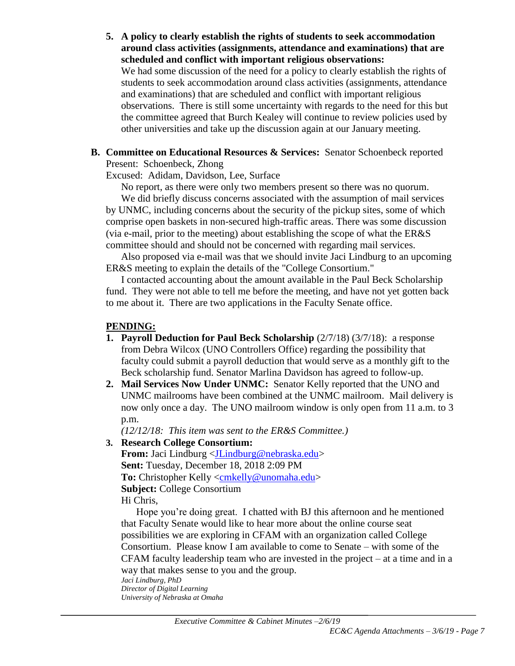- **5. A policy to clearly establish the rights of students to seek accommodation around class activities (assignments, attendance and examinations) that are scheduled and conflict with important religious observations:** We had some discussion of the need for a policy to clearly establish the rights of students to seek accommodation around class activities (assignments, attendance and examinations) that are scheduled and conflict with important religious observations. There is still some uncertainty with regards to the need for this but the committee agreed that Burch Kealey will continue to review policies used by other universities and take up the discussion again at our January meeting.
- **B. Committee on Educational Resources & Services:** Senator Schoenbeck reported Present: Schoenbeck, Zhong
	- Excused: Adidam, Davidson, Lee, Surface

No report, as there were only two members present so there was no quorum.

We did briefly discuss concerns associated with the assumption of mail services by UNMC, including concerns about the security of the pickup sites, some of which comprise open baskets in non-secured high-traffic areas. There was some discussion (via e-mail, prior to the meeting) about establishing the scope of what the ER&S committee should and should not be concerned with regarding mail services.

Also proposed via e-mail was that we should invite Jaci Lindburg to an upcoming ER&S meeting to explain the details of the "College Consortium."

I contacted accounting about the amount available in the Paul Beck Scholarship fund. They were not able to tell me before the meeting, and have not yet gotten back to me about it. There are two applications in the Faculty Senate office.

#### **PENDING:**

- **1. Payroll Deduction for Paul Beck Scholarship**  $(2/7/18)$   $(3/7/18)$ : a response from Debra Wilcox (UNO Controllers Office) regarding the possibility that faculty could submit a payroll deduction that would serve as a monthly gift to the Beck scholarship fund. Senator Marlina Davidson has agreed to follow-up.
- **2. Mail Services Now Under UNMC:** Senator Kelly reported that the UNO and UNMC mailrooms have been combined at the UNMC mailroom. Mail delivery is now only once a day. The UNO mailroom window is only open from 11 a.m. to 3 p.m.

*(12/12/18: This item was sent to the ER&S Committee.)*

**3. Research College Consortium:** 

**From:** Jaci Lindburg [<JLindburg@nebraska.edu>](mailto:JLindburg@nebraska.edu) **Sent:** Tuesday, December 18, 2018 2:09 PM To: Christopher Kelly [<cmkelly@unomaha.edu>](mailto:cmkelly@unomaha.edu) **Subject:** College Consortium Hi Chris,

Hope you're doing great. I chatted with BJ this afternoon and he mentioned that Faculty Senate would like to hear more about the online course seat possibilities we are exploring in CFAM with an organization called College Consortium. Please know I am available to come to Senate – with some of the CFAM faculty leadership team who are invested in the project – at a time and in a way that makes sense to you and the group.

*Jaci Lindburg, PhD Director of Digital Learning University of Nebraska at Omaha*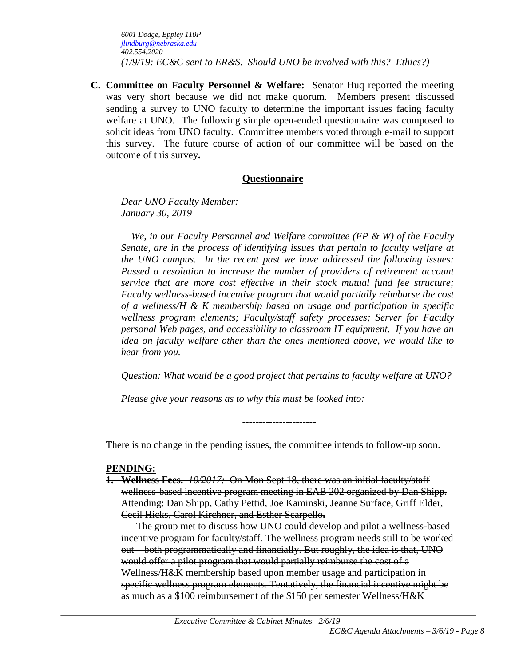*6001 Dodge, Eppley 110P [jlindburg@nebraska.edu](mailto:jlindburg@nebraska.edu) 402.554.2020 (1/9/19: EC&C sent to ER&S. Should UNO be involved with this? Ethics?)*

**C. Committee on Faculty Personnel & Welfare:** Senator Huq reported the meeting was very short because we did not make quorum. Members present discussed sending a survey to UNO faculty to determine the important issues facing faculty welfare at UNO. The following simple open-ended questionnaire was composed to solicit ideas from UNO faculty. Committee members voted through e-mail to support this survey. The future course of action of our committee will be based on the outcome of this survey**.** 

### **Questionnaire**

*Dear UNO Faculty Member: January 30, 2019*

 *We, in our Faculty Personnel and Welfare committee (FP & W) of the Faculty Senate, are in the process of identifying issues that pertain to faculty welfare at the UNO campus. In the recent past we have addressed the following issues: Passed a resolution to increase the number of providers of retirement account service that are more cost effective in their stock mutual fund fee structure; Faculty wellness-based incentive program that would partially reimburse the cost of a wellness/H & K membership based on usage and participation in specific wellness program elements; Faculty/staff safety processes; Server for Faculty personal Web pages, and accessibility to classroom IT equipment. If you have an idea on faculty welfare other than the ones mentioned above, we would like to hear from you.*

*Question: What would be a good project that pertains to faculty welfare at UNO?*

*Please give your reasons as to why this must be looked into:*

There is no change in the pending issues, the committee intends to follow-up soon.

----------------------

#### **PENDING:**

**1. Wellness Fees.** *10/2017:*On Mon Sept 18, there was an initial faculty/staff wellness-based incentive program meeting in EAB 202 organized by Dan Shipp. Attending: Dan Shipp, Cathy Pettid, Joe Kaminski, Jeanne Surface, Griff Elder, Cecil Hicks, Carol Kirchner, and Esther Scarpello**.**

The group met to discuss how UNO could develop and pilot a wellness-based incentive program for faculty/staff. The wellness program needs still to be worked out—both programmatically and financially. But roughly, the idea is that, UNO would offer a pilot program that would partially reimburse the cost of a Wellness/H&K membership based upon member usage and participation in specific wellness program elements. Tentatively, the financial incentive might be as much as a \$100 reimbursement of the \$150 per semester Wellness/H&K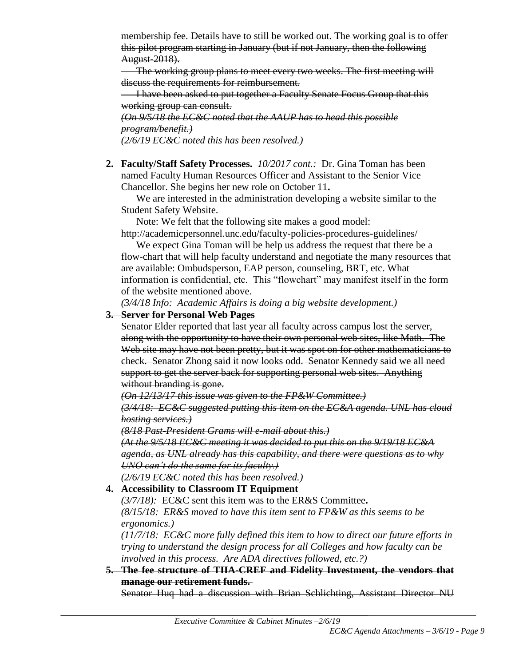membership fee. Details have to still be worked out. The working goal is to offer this pilot program starting in January (but if not January, then the following August-2018).

The working group plans to meet every two weeks. The first meeting will discuss the requirements for reimbursement.

**I have been asked to put together a Faculty Senate Focus Group that this** working group can consult.

*(On 9/5/18 the EC&C noted that the AAUP has to head this possible program/benefit.) (2/6/19 EC&C noted this has been resolved.)*

**2. Faculty/Staff Safety Processes.** *10/2017 cont.:* Dr. Gina Toman has been named Faculty Human Resources Officer and Assistant to the Senior Vice Chancellor. She begins her new role on October 11**.**

We are interested in the administration developing a website similar to the Student Safety Website.

Note: We felt that the following site makes a good model:

http://academicpersonnel.unc.edu/faculty-policies-procedures-guidelines/ We expect Gina Toman will be help us address the request that there be a

flow-chart that will help faculty understand and negotiate the many resources that are available: Ombudsperson, EAP person, counseling, BRT, etc. What information is confidential, etc. This "flowchart" may manifest itself in the form of the website mentioned above.

*(3/4/18 Info: Academic Affairs is doing a big website development.)*

# **3. Server for Personal Web Pages**

Senator Elder reported that last year all faculty across campus lost the server, along with the opportunity to have their own personal web sites, like Math. The Web site may have not been pretty, but it was spot on for other mathematicians to check. Senator Zhong said it now looks odd. Senator Kennedy said we all need support to get the server back for supporting personal web sites. Anything without branding is gone.

*(On 12/13/17 this issue was given to the FP&W Committee.)*

*(3/4/18: EC&C suggested putting this item on the EC&A agenda. UNL has cloud hosting services.)*

*(8/18 Past-President Grams will e-mail about this.)*

*(At the 9/5/18 EC&C meeting it was decided to put this on the 9/19/18 EC&A agenda, as UNL already has this capability, and there were questions as to why UNO can't do the same for its faculty.)*

*(2/6/19 EC&C noted this has been resolved.)*

# **4. Accessibility to Classroom IT Equipment**

*(3/7/18):* EC&C sent this item was to the ER&S Committee**.**  *(8/15/18: ER&S moved to have this item sent to FP&W as this seems to be ergonomics.)* 

*(11/7/18: EC&C more fully defined this item to how to direct our future efforts in trying to understand the design process for all Colleges and how faculty can be involved in this process. Are ADA directives followed, etc.?)* 

**5. The fee structure of TIIA-CREF and Fidelity Investment, the vendors that manage our retirement funds.**

Senator Huq had a discussion with Brian Schlichting, Assistant Director NU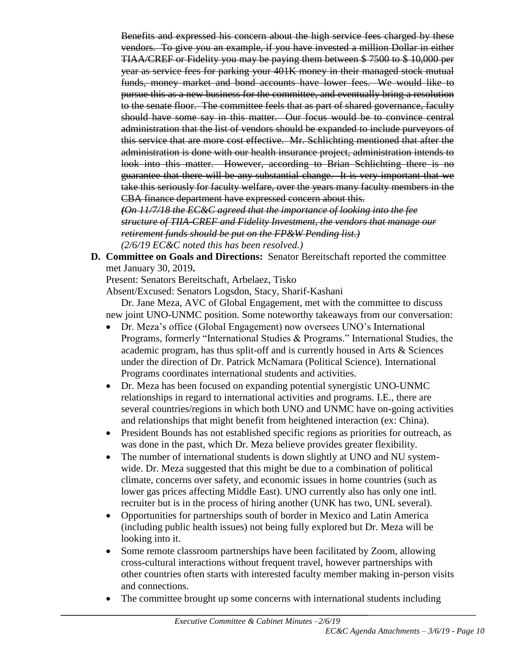Benefits and expressed his concern about the high service fees charged by these vendors. To give you an example, if you have invested a million Dollar in either TIAA/CREF or Fidelity you may be paying them between \$ 7500 to \$ 10,000 per year as service fees for parking your 401K money in their managed stock mutual funds, money market and bond accounts have lower fees. We would like to pursue this as a new business for the committee, and eventually bring a resolution to the senate floor. The committee feels that as part of shared governance, faculty should have some say in this matter. Our focus would be to convince central administration that the list of vendors should be expanded to include purveyors of this service that are more cost effective. Mr. Schlichting mentioned that after the administration is done with our health insurance project, administration intends to look into this matter. However, according to Brian Schlichting there is no guarantee that there will be any substantial change. It is very important that we take this seriously for faculty welfare, over the years many faculty members in the CBA finance department have expressed concern about this.

*(On 11/7/18 the EC&C agreed that the importance of looking into the fee structure of TIIA-CREF and Fidelity Investment, the vendors that manage our retirement funds should be put on the FP&W Pending list.) (2/6/19 EC&C noted this has been resolved.)*

**D. Committee on Goals and Directions:** Senator Bereitschaft reported the committee met January 30, 2019**.** 

Present: Senators Bereitschaft, Arbelaez, Tisko

Absent/Excused: Senators Logsdon, Stacy, Sharif-Kashani

Dr. Jane Meza, AVC of Global Engagement, met with the committee to discuss new joint UNO-UNMC position. Some noteworthy takeaways from our conversation:

- Dr. Meza's office (Global Engagement) now oversees UNO's International Programs, formerly "International Studies & Programs." International Studies, the academic program, has thus split-off and is currently housed in Arts & Sciences under the direction of Dr. Patrick McNamara (Political Science). International Programs coordinates international students and activities.
- Dr. Meza has been focused on expanding potential synergistic UNO-UNMC relationships in regard to international activities and programs. I.E., there are several countries/regions in which both UNO and UNMC have on-going activities and relationships that might benefit from heightened interaction (ex: China).
- President Bounds has not established specific regions as priorities for outreach, as was done in the past, which Dr. Meza believe provides greater flexibility.
- The number of international students is down slightly at UNO and NU systemwide. Dr. Meza suggested that this might be due to a combination of political climate, concerns over safety, and economic issues in home countries (such as lower gas prices affecting Middle East). UNO currently also has only one intl. recruiter but is in the process of hiring another (UNK has two, UNL several).
- Opportunities for partnerships south of border in Mexico and Latin America (including public health issues) not being fully explored but Dr. Meza will be looking into it.
- Some remote classroom partnerships have been facilitated by Zoom, allowing cross-cultural interactions without frequent travel, however partnerships with other countries often starts with interested faculty member making in-person visits and connections.
- The committee brought up some concerns with international students including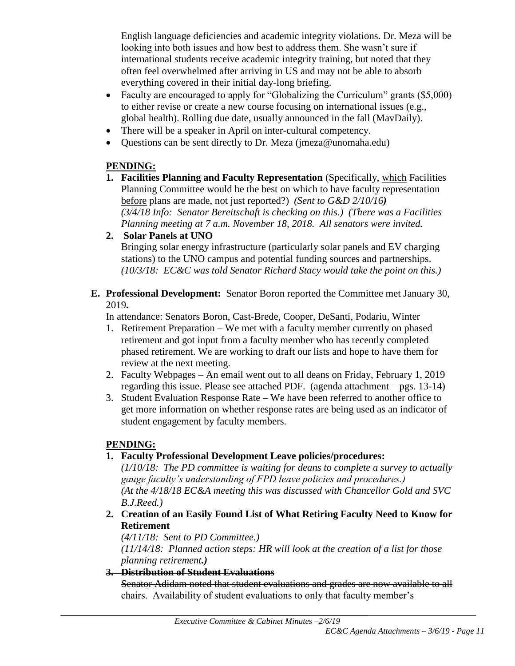English language deficiencies and academic integrity violations. Dr. Meza will be looking into both issues and how best to address them. She wasn't sure if international students receive academic integrity training, but noted that they often feel overwhelmed after arriving in US and may not be able to absorb everything covered in their initial day-long briefing.

- Faculty are encouraged to apply for "Globalizing the Curriculum" grants (\$5,000) to either revise or create a new course focusing on international issues (e.g., global health). Rolling due date, usually announced in the fall (MavDaily).
- There will be a speaker in April on inter-cultural competency.
- Questions can be sent directly to Dr. Meza (jmeza@unomaha.edu)

# **PENDING:**

- **1. Facilities Planning and Faculty Representation** (Specifically, which Facilities Planning Committee would be the best on which to have faculty representation before plans are made, not just reported?) *(Sent to G&D 2/10/16) (3/4/18 Info: Senator Bereitschaft is checking on this.) (There was a Facilities Planning meeting at 7 a.m. November 18, 2018. All senators were invited.*
- **2. Solar Panels at UNO**

Bringing solar energy infrastructure (particularly solar panels and EV charging stations) to the UNO campus and potential funding sources and partnerships. *(10/3/18: EC&C was told Senator Richard Stacy would take the point on this.)*

# **E. Professional Development:** Senator Boron reported the Committee met January 30, 2019**.**

In attendance: Senators Boron, Cast-Brede, Cooper, DeSanti, Podariu, Winter

- 1. Retirement Preparation We met with a faculty member currently on phased retirement and got input from a faculty member who has recently completed phased retirement. We are working to draft our lists and hope to have them for review at the next meeting.
- 2. Faculty Webpages An email went out to all deans on Friday, February 1, 2019 regarding this issue. Please see attached PDF. (agenda attachment – pgs. 13-14)
- 3. Student Evaluation Response Rate We have been referred to another office to get more information on whether response rates are being used as an indicator of student engagement by faculty members.

# **PENDING:**

# **1. Faculty Professional Development Leave policies/procedures:**

*(1/10/18: The PD committee is waiting for deans to complete a survey to actually gauge faculty's understanding of FPD leave policies and procedures.) (At the 4/18/18 EC&A meeting this was discussed with Chancellor Gold and SVC B.J.Reed.)*

**2. Creation of an Easily Found List of What Retiring Faculty Need to Know for Retirement**

*(4/11/18: Sent to PD Committee.)*

*(11/14/18: Planned action steps: HR will look at the creation of a list for those planning retirement.)*

# **3. Distribution of Student Evaluations**

Senator Adidam noted that student evaluations and grades are now available to all chairs. Availability of student evaluations to only that faculty member's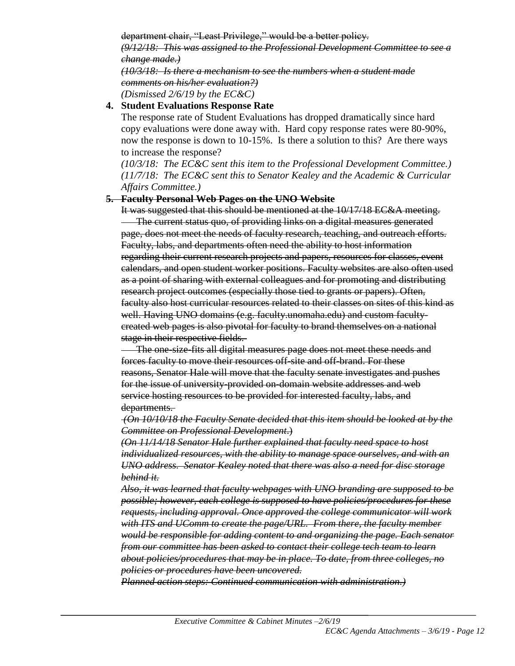department chair, "Least Privilege," would be a better policy.

*(9/12/18: This was assigned to the Professional Development Committee to see a change made.)*

*(10/3/18: Is there a mechanism to see the numbers when a student made comments on his/her evaluation?) (Dismissed 2/6/19 by the EC&C)*

#### **4. Student Evaluations Response Rate**

The response rate of Student Evaluations has dropped dramatically since hard copy evaluations were done away with. Hard copy response rates were 80-90%, now the response is down to 10-15%. Is there a solution to this? Are there ways to increase the response?

*(10/3/18: The EC&C sent this item to the Professional Development Committee.) (11/7/18: The EC&C sent this to Senator Kealey and the Academic & Curricular Affairs Committee.)*

#### **5. Faculty Personal Web Pages on the UNO Website**

It was suggested that this should be mentioned at the 10/17/18 EC&A meeting. The current status quo, of providing links on a digital measures generated page, does not meet the needs of faculty research, teaching, and outreach efforts. Faculty, labs, and departments often need the ability to host information regarding their current research projects and papers, resources for classes, event calendars, and open student worker positions. Faculty websites are also often used as a point of sharing with external colleagues and for promoting and distributing research project outcomes (especially those tied to grants or papers). Often, faculty also host curricular resources related to their classes on sites of this kind as well. Having UNO domains (e.g. faculty.unomaha.edu) and custom facultycreated web pages is also pivotal for faculty to brand themselves on a national stage in their respective fields.

The one-size-fits all digital measures page does not meet these needs and forces faculty to move their resources off-site and off-brand. For these reasons, Senator Hale will move that the faculty senate investigates and pushes for the issue of university-provided on-domain website addresses and web service hosting resources to be provided for interested faculty, labs, and departments.

*(On 10/10/18 the Faculty Senate decided that this item should be looked at by the Committee on Professional Development*.)

*(On 11/14/18 Senator Hale further explained that faculty need space to host individualized resources, with the ability to manage space ourselves, and with an UNO address. Senator Kealey noted that there was also a need for disc storage behind it.*

*Also, it was learned that faculty webpages with UNO branding are supposed to be possible; however, each college is supposed to have policies/procedures for these requests, including approval. Once approved the college communicator will work with ITS and UComm to create the page/URL. From there, the faculty member would be responsible for adding content to and organizing the page. Each senator from our committee has been asked to contact their college tech team to learn about policies/procedures that may be in place. To date, from three colleges, no policies or procedures have been uncovered.* 

*Planned action steps: Continued communication with administration.)*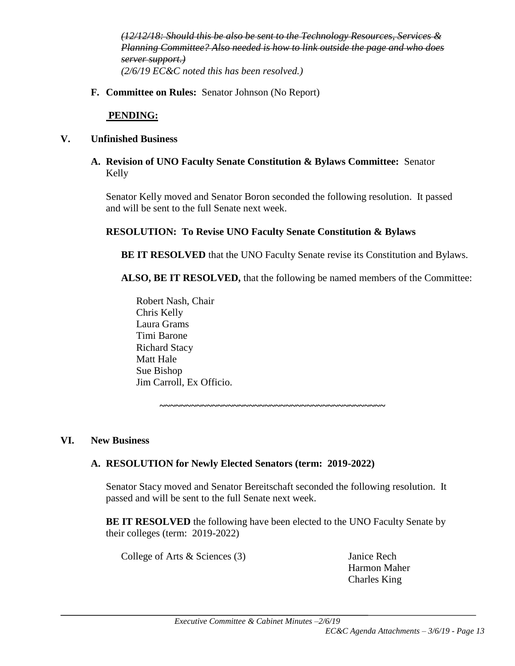*(12/12/18: Should this be also be sent to the Technology Resources, Services & Planning Committee? Also needed is how to link outside the page and who does server support.) (2/6/19 EC&C noted this has been resolved.)*

**F. Committee on Rules:** Senator Johnson (No Report)

#### **PENDING:**

#### **V. Unfinished Business**

**A. Revision of UNO Faculty Senate Constitution & Bylaws Committee:** Senator Kelly

Senator Kelly moved and Senator Boron seconded the following resolution. It passed and will be sent to the full Senate next week.

### **RESOLUTION: To Revise UNO Faculty Senate Constitution & Bylaws**

**BE IT RESOLVED** that the UNO Faculty Senate revise its Constitution and Bylaws.

**ALSO, BE IT RESOLVED,** that the following be named members of the Committee:

Robert Nash, Chair Chris Kelly Laura Grams Timi Barone Richard Stacy Matt Hale Sue Bishop Jim Carroll, Ex Officio.

**~~~~~~~~~~~~~~~~~~~~~~~~~~~~~~~~~~~~~~~~~~~**

#### **VI. New Business**

#### **A. RESOLUTION for Newly Elected Senators (term: 2019-2022)**

Senator Stacy moved and Senator Bereitschaft seconded the following resolution. It passed and will be sent to the full Senate next week.

**BE IT RESOLVED** the following have been elected to the UNO Faculty Senate by their colleges (term: 2019-2022)

College of Arts & Sciences (3) Janice Rech

Harmon Maher Charles King